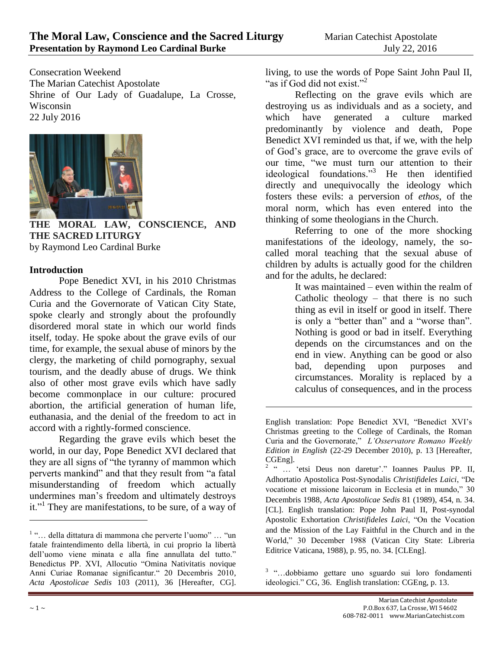Consecration Weekend The Marian Catechist Apostolate Shrine of Our Lady of Guadalupe, La Crosse, Wisconsin 22 July 2016



**THE MORAL LAW, CONSCIENCE, AND THE SACRED LITURGY** by Raymond Leo Cardinal Burke

#### **Introduction**

Pope Benedict XVI, in his 2010 Christmas Address to the College of Cardinals, the Roman Curia and the Governorate of Vatican City State, spoke clearly and strongly about the profoundly disordered moral state in which our world finds itself, today. He spoke about the grave evils of our time, for example, the sexual abuse of minors by the clergy, the marketing of child pornography, sexual tourism, and the deadly abuse of drugs. We think also of other most grave evils which have sadly become commonplace in our culture: procured abortion, the artificial generation of human life, euthanasia, and the denial of the freedom to act in accord with a rightly-formed conscience.

Regarding the grave evils which beset the world, in our day, Pope Benedict XVI declared that they are all signs of "the tyranny of mammon which perverts mankind" and that they result from "a fatal misunderstanding of freedom which actually undermines man's freedom and ultimately destroys it."<sup>1</sup> They are manifestations, to be sure, of a way of

living, to use the words of Pope Saint John Paul II, "as if God did not exist."<sup>2</sup>

Reflecting on the grave evils which are destroying us as individuals and as a society, and which have generated a culture marked predominantly by violence and death, Pope Benedict XVI reminded us that, if we, with the help of God's grace, are to overcome the grave evils of our time, "we must turn our attention to their ideological foundations."<sup>3</sup> He then identified directly and unequivocally the ideology which fosters these evils: a perversion of *ethos*, of the moral norm, which has even entered into the thinking of some theologians in the Church.

Referring to one of the more shocking manifestations of the ideology, namely, the socalled moral teaching that the sexual abuse of children by adults is actually good for the children and for the adults, he declared:

> It was maintained – even within the realm of Catholic theology  $-$  that there is no such thing as evil in itself or good in itself. There is only a "better than" and a "worse than". Nothing is good or bad in itself. Everything depends on the circumstances and on the end in view. Anything can be good or also bad, depending upon purposes and circumstances. Morality is replaced by a calculus of consequences, and in the process

 $\overline{a}$ 

<sup>&</sup>lt;sup>1</sup>"... della dittatura di mammona che perverte l'uomo"... "un fatale fraintendimento della libertà, in cui proprio la libertà dell'uomo viene minata e alla fine annullata del tutto." Benedictus PP. XVI, Allocutio "Omina Nativitatis novique Anni Curiae Romanae significantur." 20 Decembris 2010, *Acta Apostolicae Sedis* 103 (2011), 36 [Hereafter, CG].

English translation: Pope Benedict XVI, "Benedict XVI's Christmas greeting to the College of Cardinals, the Roman Curia and the Governorate," *L'Osservatore Romano Weekly Edition in English* (22-29 December 2010), p. 13 [Hereafter, CGEng].

<sup>&</sup>lt;sup>2</sup> " ... 'etsi Deus non daretur'." Ioannes Paulus PP. II, Adhortatio Apostolica Post-Synodalis *Christifideles Laici*, "De vocatione et missione laicorum in Ecclesia et in mundo," 30 Decembris 1988, *Acta Apostolicae Sedis* 81 (1989), 454, n. 34. [CL]. English translation: Pope John Paul II, Post-synodal Apostolic Exhortation *Christifideles Laici*, "On the Vocation and the Mission of the Lay Faithful in the Church and in the World," 30 December 1988 (Vatican City State: Libreria Editrice Vaticana, 1988), p. 95, no. 34. [CLEng].

<sup>&</sup>lt;sup>3</sup> "...dobbiamo gettare uno sguardo sui loro fondamenti ideologici." CG, 36. English translation: CGEng*,* p. 13.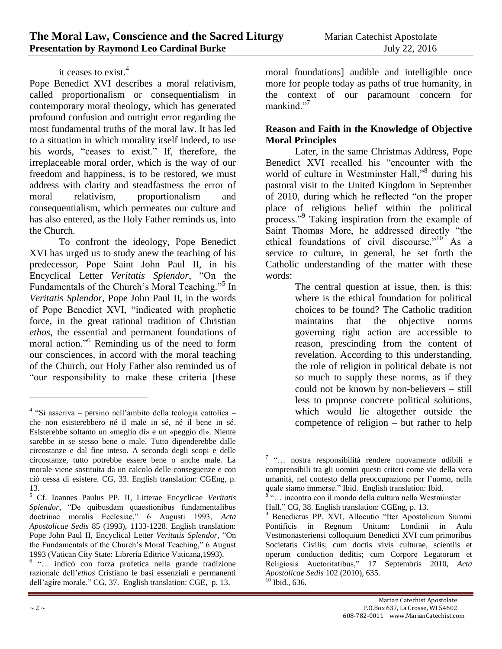#### it ceases to exist.<sup>4</sup>

Pope Benedict XVI describes a moral relativism, called proportionalism or consequentialism in contemporary moral theology, which has generated profound confusion and outright error regarding the most fundamental truths of the moral law. It has led to a situation in which morality itself indeed, to use his words, "ceases to exist." If, therefore, the irreplaceable moral order, which is the way of our freedom and happiness, is to be restored, we must address with clarity and steadfastness the error of moral relativism, proportionalism and consequentialism, which permeates our culture and has also entered, as the Holy Father reminds us, into the Church.

To confront the ideology, Pope Benedict XVI has urged us to study anew the teaching of his predecessor, Pope Saint John Paul II, in his Encyclical Letter *Veritatis Splendor*, "On the Fundamentals of the Church's Moral Teaching."<sup>5</sup> In *Veritatis Splendor*, Pope John Paul II, in the words of Pope Benedict XVI, "indicated with prophetic force, in the great rational tradition of Christian *ethos*, the essential and permanent foundations of moral action."<sup>6</sup> Reminding us of the need to form our consciences, in accord with the moral teaching of the Church, our Holy Father also reminded us of "our responsibility to make these criteria [these

6 "… indicò con forza profetica nella grande tradizione razionale dell'*ethos* Cristiano le basi essenziali e permanenti dell'agire morale." CG, 37. English translation: CGE, p. 13.

moral foundations] audible and intelligible once more for people today as paths of true humanity, in the context of our paramount concern for mankind $"$ <sup>7</sup>

## **Reason and Faith in the Knowledge of Objective Moral Principles**

Later, in the same Christmas Address, Pope Benedict XVI recalled his "encounter with the world of culture in Westminster Hall,"<sup>8</sup> during his pastoral visit to the United Kingdom in September of 2010, during which he reflected "on the proper place of religious belief within the political process."<sup>9</sup> Taking inspiration from the example of Saint Thomas More, he addressed directly "the ethical foundations of civil discourse."<sup>10</sup> As a service to culture, in general, he set forth the Catholic understanding of the matter with these words:

The central question at issue, then, is this: where is the ethical foundation for political choices to be found? The Catholic tradition maintains that the objective norms governing right action are accessible to reason, prescinding from the content of revelation. According to this understanding, the role of religion in political debate is not so much to supply these norms, as if they could not be known by non-believers – still less to propose concrete political solutions, which would lie altogether outside the competence of religion – but rather to help

 $\overline{a}$ 

<sup>4</sup> "Si asseriva – persino nell'ambito della teologia cattolica – che non esisterebbero né il male in sé, né il bene in sé. Esisterebbe soltanto un «meglio di» e un «peggio di». Niente sarebbe in se stesso bene o male. Tutto dipenderebbe dalle circostanze e dal fine inteso. A seconda degli scopi e delle circostanze, tutto potrebbe essere bene o anche male. La morale viene sostituita da un calcolo delle conseguenze e con ciò cessa di esistere. CG, 33. English translation: CGEng, p. 13.

<sup>5</sup> Cf. Ioannes Paulus PP. II, Litterae Encyclicae *Veritatis Splendor*, "De quibusdam quaestionibus fundamentalibus doctrinae moralis Ecclesiae," 6 Augusti 1993, *Acta Apostolicae Sedis* 85 (1993), 1133-1228. English translation: Pope John Paul II, Encyclical Letter *Veritatis Splendor*, "On the Fundamentals of the Church's Moral Teaching," 6 August 1993 (Vatican City State: Libreria Editrice Vaticana,1993).

<sup>&</sup>lt;sup>7</sup> "... nostra responsibilità rendere nuovamente udibili e comprensibili tra gli uomini questi criteri come vie della vera umanità, nel contesto della preoccupazione per l'uomo, nella quale siamo immerse." Ibid. English translation: Ibid.

<sup>&</sup>lt;sup>8</sup><sup>"</sup>... incontro con il mondo della cultura nella Westminster

Hall." CG, 38. English translation: CGEng, p. 13.

<sup>9</sup> Benedictus PP. XVI, Allocutio "Iter Apostolicum Summi Pontificis in Regnum Unitum: Londinii in Aula Vestmonasteriensi colloquium Benedicti XVI cum primoribus Societatis Civilis; cum doctis vivis culturae, scientiis et operum conduction deditis; cum Corpore Legatorum et Religiosis Auctoritatibus," 17 Septembris 2010, *Acta Apostolicae Sedis* 102 (2010), 635.  $10^{10}$  Ibid., 636.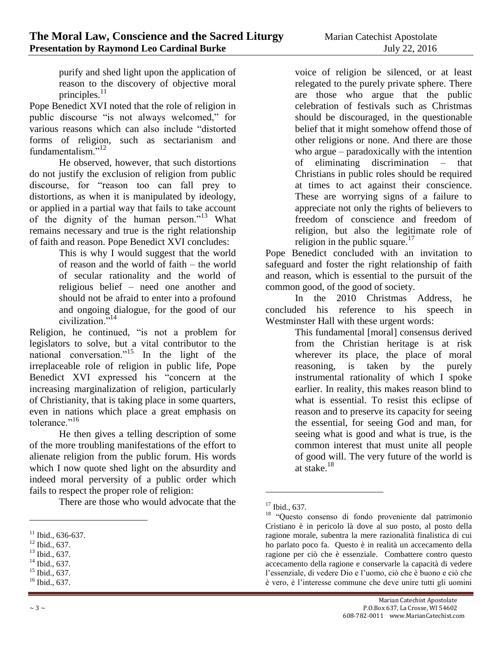purify and shed light upon the application of reason to the discovery of objective moral principles. $^{11}$ 

Pope Benedict XVI noted that the role of religion in public discourse "is not always welcomed," for various reasons which can also include "distorted forms of religion, such as sectarianism and fundamentalism."<sup>12</sup>

He observed, however, that such distortions do not justify the exclusion of religion from public discourse, for "reason too can fall prey to distortions, as when it is manipulated by ideology, or applied in a partial way that fails to take account of the dignity of the human person."<sup>13</sup> What remains necessary and true is the right relationship of faith and reason. Pope Benedict XVI concludes:

This is why I would suggest that the world of reason and the world of faith – the world of secular rationality and the world of religious belief – need one another and should not be afraid to enter into a profound and ongoing dialogue, for the good of our civilization."<sup>14</sup>

Religion, he continued, "is not a problem for legislators to solve, but a vital contributor to the national conversation." $15$  In the light of the irreplaceable role of religion in public life, Pope Benedict XVI expressed his "concern at the increasing marginalization of religion, particularly of Christianity, that is taking place in some quarters, even in nations which place a great emphasis on tolerance<sup>",16</sup>

He then gives a telling description of some of the more troubling manifestations of the effort to alienate religion from the public forum. His words which I now quote shed light on the absurdity and indeed moral perversity of a public order which fails to respect the proper role of religion:

There are those who would advocate that the

 $\overline{a}$ 

voice of religion be silenced, or at least relegated to the purely private sphere. There are those who argue that the public celebration of festivals such as Christmas should be discouraged, in the questionable belief that it might somehow offend those of other religions or none. And there are those who argue – paradoxically with the intention of eliminating discrimination – that Christians in public roles should be required at times to act against their conscience. These are worrying signs of a failure to appreciate not only the rights of believers to freedom of conscience and freedom of religion, but also the legitimate role of religion in the public square. $^{17}$ 

Pope Benedict concluded with an invitation to safeguard and foster the right relationship of faith and reason, which is essential to the pursuit of the common good, of the good of society.

In the 2010 Christmas Address, he concluded his reference to his speech in Westminster Hall with these urgent words:

This fundamental [moral] consensus derived from the Christian heritage is at risk wherever its place, the place of moral reasoning, is taken by the purely instrumental rationality of which I spoke earlier. In reality, this makes reason blind to what is essential. To resist this eclipse of reason and to preserve its capacity for seeing the essential, for seeing God and man, for seeing what is good and what is true, is the common interest that must unite all people of good will. The very future of the world is at stake.<sup>18</sup>

 $11$  Ibid., 636-637.

 $12$  Ibid., 637.

<sup>13</sup> Ibid., 637.

 $14$  Ibid., 637.

<sup>&</sup>lt;sup>15</sup> Ibid., 637.

 $16$  Ibid., 637.

<sup>&</sup>lt;sup>17</sup> Ibid., 637.

<sup>&</sup>lt;sup>18</sup> "Questo consenso di fondo proveniente dal patrimonio" Cristiano è in pericolo là dove al suo posto, al posto della ragione morale, subentra la mere razionalità finalistica di cui ho parlato poco fa. Questo è in realità un accecamento della ragione per ciò che è essenziale. Combattere contro questo accecamento della ragione e conservarle la capacità di vedere l'essenziale, di vedere Dio e l'uomo, ciò che è buono e ciò che è vero, è l'interesse commune che deve unire tutti gli uomini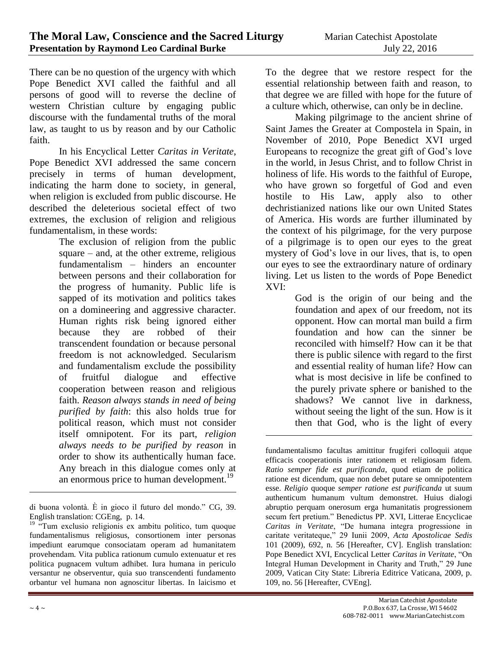There can be no question of the urgency with which Pope Benedict XVI called the faithful and all persons of good will to reverse the decline of western Christian culture by engaging public discourse with the fundamental truths of the moral law, as taught to us by reason and by our Catholic faith.

In his Encyclical Letter *Caritas in Veritate*, Pope Benedict XVI addressed the same concern precisely in terms of human development, indicating the harm done to society, in general, when religion is excluded from public discourse. He described the deleterious societal effect of two extremes, the exclusion of religion and religious fundamentalism, in these words:

The exclusion of religion from the public square – and, at the other extreme, religious fundamentalism – hinders an encounter between persons and their collaboration for the progress of humanity. Public life is sapped of its motivation and politics takes on a domineering and aggressive character. Human rights risk being ignored either because they are robbed of their transcendent foundation or because personal freedom is not acknowledged. Secularism and fundamentalism exclude the possibility of fruitful dialogue and effective cooperation between reason and religious faith. *Reason always stands in need of being purified by faith*: this also holds true for political reason, which must not consider itself omnipotent. For its part, *religion always needs to be purified by reason* in order to show its authentically human face. Any breach in this dialogue comes only at an enormous price to human development.<sup>19</sup>

To the degree that we restore respect for the essential relationship between faith and reason, to that degree we are filled with hope for the future of a culture which, otherwise, can only be in decline.

Making pilgrimage to the ancient shrine of Saint James the Greater at Compostela in Spain, in November of 2010, Pope Benedict XVI urged Europeans to recognize the great gift of God's love in the world, in Jesus Christ, and to follow Christ in holiness of life. His words to the faithful of Europe, who have grown so forgetful of God and even hostile to His Law, apply also to other dechristianized nations like our own United States of America. His words are further illuminated by the context of his pilgrimage, for the very purpose of a pilgrimage is to open our eyes to the great mystery of God's love in our lives, that is, to open our eyes to see the extraordinary nature of ordinary living. Let us listen to the words of Pope Benedict XVI:

God is the origin of our being and the foundation and apex of our freedom, not its opponent. How can mortal man build a firm foundation and how can the sinner be reconciled with himself? How can it be that there is public silence with regard to the first and essential reality of human life? How can what is most decisive in life be confined to the purely private sphere or banished to the shadows? We cannot live in darkness, without seeing the light of the sun. How is it then that God, who is the light of every

fundamentalismo facultas amittitur frugiferi colloquii atque efficacis cooperationis inter rationem et religiosam fidem. *Ratio semper fide est purificanda*, quod etiam de politica ratione est dicendum, quae non debet putare se omnipotentem esse. *Religio* quoque *semper ratione est purificanda* ut suum authenticum humanum vultum demonstret. Huius dialogi abruptio perquam onerosum erga humanitatis progressionem secum fert pretium." Benedictus PP. XVI, Litterae Encyclicae *Caritas in Veritate*, "De humana integra progressione in caritate veritateque," 29 Iunii 2009, *Acta Apostolicae Sedis* 101 (2009), 692, n. 56 [Hereafter, CV]. English translation: Pope Benedict XVI, Encyclical Letter *Caritas in Veritate*, "On Integral Human Development in Charity and Truth," 29 June 2009, Vatican City State: Libreria Editrice Vaticana, 2009, p. 109, no. 56 [Hereafter, CVEng].

 $\overline{a}$ 

di buona volontà. È in gioco il futuro del mondo." CG, 39. English translation: CGEng, p. 14.

<sup>&</sup>lt;sup>19</sup> "Tum exclusio religionis ex ambitu politico, tum quoque fundamentalismus religiosus, consortionem inter personas impediunt earumque consociatam operam ad humanitatem provehendam. Vita publica rationum cumulo extenuatur et res politica pugnacem vultum adhibet. Iura humana in periculo versantur ne observentur, quia suo transcendenti fundamento orbantur vel humana non agnoscitur libertas. In laicismo et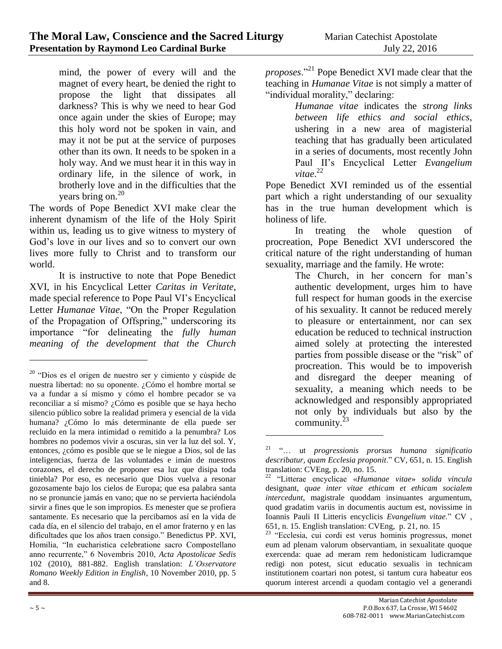mind, the power of every will and the magnet of every heart, be denied the right to propose the light that dissipates all darkness? This is why we need to hear God once again under the skies of Europe; may this holy word not be spoken in vain, and may it not be put at the service of purposes other than its own. It needs to be spoken in a holy way. And we must hear it in this way in ordinary life, in the silence of work, in brotherly love and in the difficulties that the years bring on. $^{20}$ 

The words of Pope Benedict XVI make clear the inherent dynamism of the life of the Holy Spirit within us, leading us to give witness to mystery of God's love in our lives and so to convert our own lives more fully to Christ and to transform our world.

It is instructive to note that Pope Benedict XVI, in his Encyclical Letter *Caritas in Veritate*, made special reference to Pope Paul VI's Encyclical Letter *Humanae Vitae*, "On the Proper Regulation of the Propagation of Offspring," underscoring its importance "for delineating the *fully human meaning of the development that the Church* 

*proposes*."<sup>21</sup> Pope Benedict XVI made clear that the teaching in *Humanae Vitae* is not simply a matter of "individual morality," declaring:

*Humanae vitae* indicates the *strong links between life ethics and social ethics*, ushering in a new area of magisterial teaching that has gradually been articulated in a series of documents, most recently John Paul II's Encyclical Letter *Evangelium vitae*. 22

Pope Benedict XVI reminded us of the essential part which a right understanding of our sexuality has in the true human development which is holiness of life.

In treating the whole question of procreation, Pope Benedict XVI underscored the critical nature of the right understanding of human sexuality, marriage and the family. He wrote:

The Church, in her concern for man's authentic development, urges him to have full respect for human goods in the exercise of his sexuality. It cannot be reduced merely to pleasure or entertainment, nor can sex education be reduced to technical instruction aimed solely at protecting the interested parties from possible disease or the "risk" of procreation. This would be to impoverish and disregard the deeper meaning of sexuality, a meaning which needs to be acknowledged and responsibly appropriated not only by individuals but also by the community. $^{23}$ 

 $\overline{a}$ 

 $20$  "Dios es el origen de nuestro ser y cimiento y cúspide de nuestra libertad: no su oponente. ¿Cómo el hombre mortal se va a fundar a sí mismo y cómo el hombre pecador se va reconciliar a sí mismo? ¿Cómo es posible que se haya hecho silencio público sobre la realidad primera y esencial de la vida humana? ¿Cómo lo más determinante de ella puede ser recluido en la mera intimidad o remitido a la penumbra? Los hombres no podemos vivir a oscuras, sin ver la luz del sol. Y, entonces, ¿cómo es posible que se le niegue a Dios, sol de las inteligencias, fuerza de las voluntades e imán de nuestros corazones, el derecho de proponer esa luz que disipa toda tiniebla? Por eso, es necesario que Dios vuelva a resonar gozosamente bajo los cielos de Europa; que esa palabra santa no se pronuncie jamás en vano; que no se pervierta haciéndola sirvir a fines que le son impropios. Es menester que se profiera santamente. Es necesario que la percibamos así en la vida de cada día, en el silencio del trabajo, en el amor fraterno y en las dificultades que los años traen consigo." Benedictus PP. XVI, Homilia, "In eucharistica celebratione sacro Compostellano anno recurrente," 6 Novembris 2010, *Acta Apostolicae Sedis*  102 (2010), 881-882. English translation: *L'Osservatore Romano Weekly Edition in English*, 10 November 2010, pp. 5 and 8.

<sup>21</sup> "… ut *progressionis prorsus humana significatio describatur, quam Ecclesia proponit*." CV, 651, n. 15. English translation: CVEng, p. 20, no. 15.

<sup>22</sup> "Litterae encyclicae «*Humanae vitae*» *solida vincula* designant, *quae inter vitae ethicam et ethicam socialem intercedunt*, magistrale quoddam insinuantes argumentum, quod gradatim variis in documentis auctum est, novissime in Ioannis Pauli II Litteris encyclicis *Evangelium vitae*." CV , 651, n. 15. English translation: CVEng, p. 21, no. 15

<sup>&</sup>lt;sup>23</sup> "Ecclesia, cui cordi est verus hominis progressus, monet eum ad plenam valorum observantiam, in sexualitate quoque exercenda: quae ad meram rem hedonisticam ludicramque redigi non potest, sicut educatio sexualis in technicam institutionem coartari non potest, si tantum cura habeatur eos quorum interest arcendi a quodam contagio vel a generandi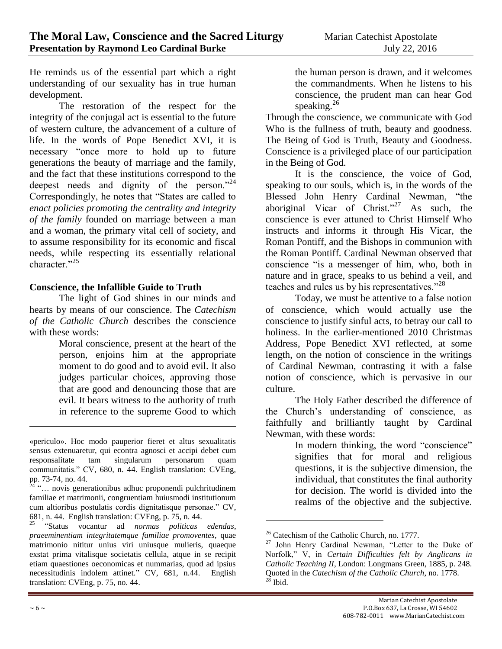He reminds us of the essential part which a right understanding of our sexuality has in true human development.

The restoration of the respect for the integrity of the conjugal act is essential to the future of western culture, the advancement of a culture of life. In the words of Pope Benedict XVI, it is necessary "once more to hold up to future generations the beauty of marriage and the family, and the fact that these institutions correspond to the deepest needs and dignity of the person."<sup>24</sup> Correspondingly, he notes that "States are called to *enact policies promoting the centrality and integrity of the family* founded on marriage between a man and a woman, the primary vital cell of society, and to assume responsibility for its economic and fiscal needs, while respecting its essentially relational character."25

## **Conscience, the Infallible Guide to Truth**

The light of God shines in our minds and hearts by means of our conscience. The *Catechism of the Catholic Church* describes the conscience with these words:

> Moral conscience, present at the heart of the person, enjoins him at the appropriate moment to do good and to avoid evil. It also judges particular choices, approving those that are good and denouncing those that are evil. It bears witness to the authority of truth in reference to the supreme Good to which

the human person is drawn, and it welcomes the commandments. When he listens to his conscience, the prudent man can hear God speaking. $^{26}$ 

Through the conscience, we communicate with God Who is the fullness of truth, beauty and goodness. The Being of God is Truth, Beauty and Goodness. Conscience is a privileged place of our participation in the Being of God.

It is the conscience, the voice of God, speaking to our souls, which is, in the words of the Blessed John Henry Cardinal Newman, "the aboriginal Vicar of Christ." $27$  As such, the conscience is ever attuned to Christ Himself Who instructs and informs it through His Vicar, the Roman Pontiff, and the Bishops in communion with the Roman Pontiff. Cardinal Newman observed that conscience "is a messenger of him, who, both in nature and in grace, speaks to us behind a veil, and teaches and rules us by his representatives."<sup>28</sup>

Today, we must be attentive to a false notion of conscience, which would actually use the conscience to justify sinful acts, to betray our call to holiness. In the earlier-mentioned 2010 Christmas Address, Pope Benedict XVI reflected, at some length, on the notion of conscience in the writings of Cardinal Newman, contrasting it with a false notion of conscience, which is pervasive in our culture.

The Holy Father described the difference of the Church's understanding of conscience, as faithfully and brilliantly taught by Cardinal Newman, with these words:

> In modern thinking, the word "conscience" signifies that for moral and religious questions, it is the subjective dimension, the individual, that constitutes the final authority for decision. The world is divided into the realms of the objective and the subjective.

 $\overline{a}$ 

<sup>«</sup>periculo». Hoc modo pauperior fieret et altus sexualitatis sensus extenuaretur, qui econtra agnosci et accipi debet cum<br>responsalitate tam singularum personarum quam responsalitate tam singularum personarum quam communitatis." CV, 680, n. 44. English translation: CVEng, pp. 73-74, no. 44.

 $24$  "... novis generationibus adhuc proponendi pulchritudinem familiae et matrimonii, congruentiam huiusmodi institutionum cum altioribus postulatis cordis dignitatisque personae." CV, 681, n. 44. English translation: CVEng, p. 75, n. 44.

<sup>25</sup> "Status vocantur ad *normas politicas edendas*, *praeeminentiam integritatemque familiae promoventes*, quae matrimonio nititur unius viri uniusque mulieris, quaeque exstat prima vitalisque societatis cellula, atque in se recipit etiam quaestiones oeconomicas et nummarias, quod ad ipsius necessitudinis indolem attinet." CV, 681, n.44. English translation: CVEng, p. 75, no. 44.

<sup>&</sup>lt;sup>26</sup> Catechism of the Catholic Church, no. 1777.

<sup>&</sup>lt;sup>27</sup> John Henry Cardinal Newman, "Letter to the Duke of Norfolk," V, in *Certain Difficulties felt by Anglicans in Catholic Teaching II*, London: Longmans Green, 1885, p. 248. Quoted in the *Catechism of the Catholic Church*, no. 1778.  $28$  Ibid.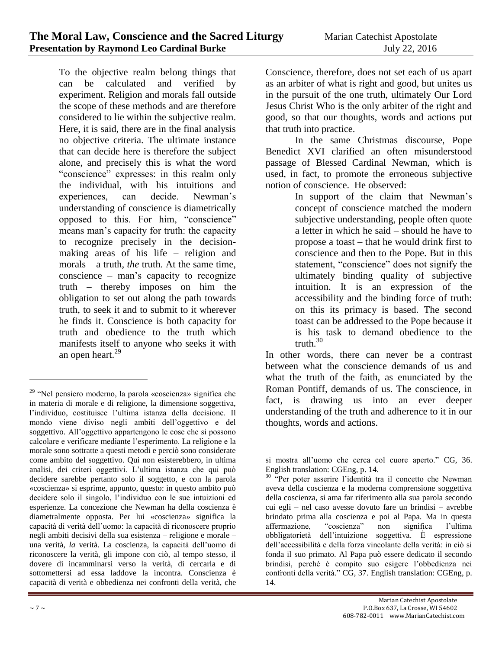To the objective realm belong things that can be calculated and verified by experiment. Religion and morals fall outside the scope of these methods and are therefore considered to lie within the subjective realm. Here, it is said, there are in the final analysis no objective criteria. The ultimate instance that can decide here is therefore the subject alone, and precisely this is what the word "conscience" expresses: in this realm only the individual, with his intuitions and experiences, can decide. Newman's understanding of conscience is diametrically opposed to this. For him, "conscience" means man's capacity for truth: the capacity to recognize precisely in the decisionmaking areas of his life – religion and morals – a truth, *the* truth. At the same time, conscience – man's capacity to recognize truth – thereby imposes on him the obligation to set out along the path towards truth, to seek it and to submit to it wherever he finds it. Conscience is both capacity for truth and obedience to the truth which manifests itself to anyone who seeks it with an open heart.<sup>29</sup>

Conscience, therefore, does not set each of us apart as an arbiter of what is right and good, but unites us in the pursuit of the one truth, ultimately Our Lord Jesus Christ Who is the only arbiter of the right and good, so that our thoughts, words and actions put that truth into practice.

In the same Christmas discourse, Pope Benedict XVI clarified an often misunderstood passage of Blessed Cardinal Newman, which is used, in fact, to promote the erroneous subjective notion of conscience. He observed:

In support of the claim that Newman's concept of conscience matched the modern subjective understanding, people often quote a letter in which he said – should he have to propose a toast – that he would drink first to conscience and then to the Pope. But in this statement, "conscience" does not signify the ultimately binding quality of subjective intuition. It is an expression of the accessibility and the binding force of truth: on this its primacy is based. The second toast can be addressed to the Pope because it is his task to demand obedience to the truth. $30$ 

In other words, there can never be a contrast between what the conscience demands of us and what the truth of the faith, as enunciated by the Roman Pontiff, demands of us. The conscience, in fact, is drawing us into an ever deeper understanding of the truth and adherence to it in our thoughts, words and actions.

 $\overline{a}$ 

<sup>29</sup> "Nel pensiero moderno, la parola «coscienza» significa che in materia di morale e di religione, la dimensione soggettiva, l'individuo, costituisce l'ultima istanza della decisione. Il mondo viene diviso negli ambiti dell'oggettivo e del soggettivo. All'oggettivo appartengono le cose che si possono calcolare e verificare mediante l'esperimento. La religione e la morale sono sottratte a questi metodi e perciò sono considerate come ambito del soggettivo. Qui non esisterebbero, in ultima analisi, dei criteri oggettivi. L'ultima istanza che qui può decidere sarebbe pertanto solo il soggetto, e con la parola «coscienza» si esprime, appunto, questo: in questo ambito può decidere solo il singolo, l'individuo con le sue intuizioni ed esperienze. La concezione che Newman ha della coscienza è diametralmente opposta. Per lui «coscienza» significa la capacità di verità dell'uomo: la capacità di riconoscere proprio negli ambiti decisivi della sua esistenza – religione e morale – una verità, *la* verità. La coscienza, la capacità dell'uomo di riconoscere la verità, gli impone con ciò, al tempo stesso, il dovere di incamminarsi verso la verità, di cercarla e di sottomettersi ad essa laddove la incontra. Conscienza è capacità di verità e obbedienza nei confronti della verità, che

si mostra all'uomo che cerca col cuore aperto." CG, 36. English translation: CGEng, p. 14.

<sup>&</sup>lt;sup>30 "</sup>Per poter asserire l'identità tra il concetto che Newman aveva della coscienza e la moderna comprensione soggettiva della coscienza, si ama far riferimento alla sua parola secondo cui egli – nel caso avesse dovuto fare un brindisi – avrebbe brindato prima alla coscienza e poi al Papa. Ma in questa affermazione, "coscienza" non significa l'ultima obbligatorietà dell'intuizione soggettiva. È espressione dell'accessibilità e della forza vincolante della verità: in ciò si fonda il suo primato. Al Papa può essere dedicato il secondo brindisi, perché è compito suo esigere l'obbedienza nei confronti della verità." CG, 37. English translation: CGEng, p. 14.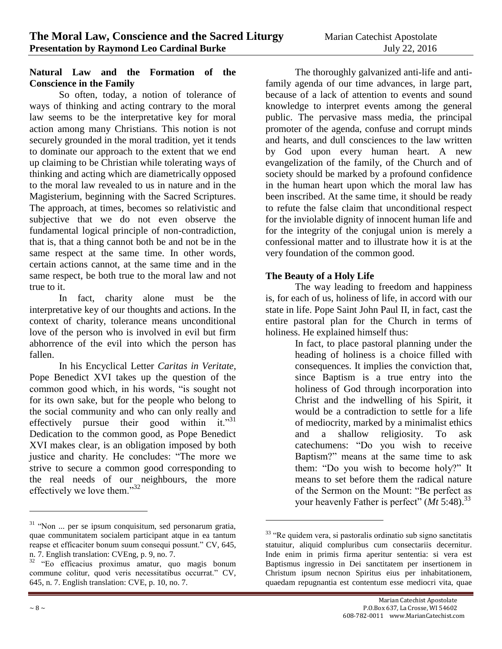## **Natural Law and the Formation of the Conscience in the Family**

So often, today, a notion of tolerance of ways of thinking and acting contrary to the moral law seems to be the interpretative key for moral action among many Christians. This notion is not securely grounded in the moral tradition, yet it tends to dominate our approach to the extent that we end up claiming to be Christian while tolerating ways of thinking and acting which are diametrically opposed to the moral law revealed to us in nature and in the Magisterium, beginning with the Sacred Scriptures. The approach, at times, becomes so relativistic and subjective that we do not even observe the fundamental logical principle of non-contradiction, that is, that a thing cannot both be and not be in the same respect at the same time. In other words, certain actions cannot, at the same time and in the same respect, be both true to the moral law and not true to it.

In fact, charity alone must be the interpretative key of our thoughts and actions. In the context of charity, tolerance means unconditional love of the person who is involved in evil but firm abhorrence of the evil into which the person has fallen.

In his Encyclical Letter *Caritas in Veritate*, Pope Benedict XVI takes up the question of the common good which, in his words, "is sought not for its own sake, but for the people who belong to the social community and who can only really and effectively pursue their good within it."<sup>31</sup> Dedication to the common good, as Pope Benedict XVI makes clear, is an obligation imposed by both justice and charity. He concludes: "The more we strive to secure a common good corresponding to the real needs of our neighbours, the more effectively we love them."<sup>32</sup>

The thoroughly galvanized anti-life and antifamily agenda of our time advances, in large part, because of a lack of attention to events and sound knowledge to interpret events among the general public. The pervasive mass media, the principal promoter of the agenda, confuse and corrupt minds and hearts, and dull consciences to the law written by God upon every human heart. A new evangelization of the family, of the Church and of society should be marked by a profound confidence in the human heart upon which the moral law has been inscribed. At the same time, it should be ready to refute the false claim that unconditional respect for the inviolable dignity of innocent human life and for the integrity of the conjugal union is merely a confessional matter and to illustrate how it is at the very foundation of the common good.

# **The Beauty of a Holy Life**

 $\overline{a}$ 

The way leading to freedom and happiness is, for each of us, holiness of life, in accord with our state in life. Pope Saint John Paul II, in fact, cast the entire pastoral plan for the Church in terms of holiness. He explained himself thus:

In fact, to place pastoral planning under the heading of holiness is a choice filled with consequences. It implies the conviction that, since Baptism is a true entry into the holiness of God through incorporation into Christ and the indwelling of his Spirit, it would be a contradiction to settle for a life of mediocrity, marked by a minimalist ethics and a shallow religiosity. To ask catechumens: "Do you wish to receive Baptism?" means at the same time to ask them: "Do you wish to become holy?" It means to set before them the radical nature of the Sermon on the Mount: "Be perfect as your heavenly Father is perfect" (*Mt* 5:48).<sup>33</sup>

<sup>&</sup>lt;sup>31</sup> "Non ... per se ipsum conquisitum, sed personarum gratia, quae communitatem socialem participant atque in ea tantum reapse et efficaciter bonum suum consequi possunt." CV, 645, n. 7. English translation: CVEng, p. 9, no. 7.

<sup>32</sup> "Eo efficacius proximus amatur, quo magis bonum commune colitur, quod veris necessitatibus occurrat." CV, 645, n. 7. English translation: CVE, p. 10, no. 7.

<sup>&</sup>lt;sup>33</sup> "Re quidem vera, si pastoralis ordinatio sub signo sanctitatis statuitur, aliquid compluribus cum consectariis decernitur. Inde enim in primis firma aperitur sententia: si vera est Baptismus ingressio in Dei sanctitatem per insertionem in Christum ipsum necnon Spiritus eius per inhabitationem, quaedam repugnantia est contentum esse mediocri vita, quae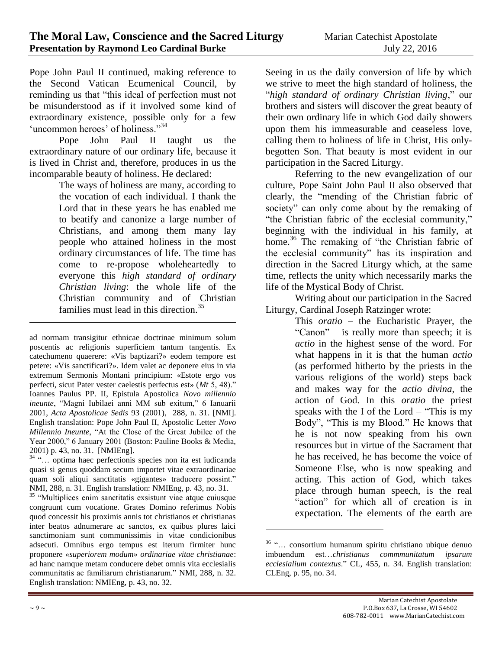Pope John Paul II continued, making reference to the Second Vatican Ecumenical Council, by reminding us that "this ideal of perfection must not be misunderstood as if it involved some kind of extraordinary existence, possible only for a few 'uncommon heroes' of holiness."<sup>34</sup>

Pope John Paul II taught us the extraordinary nature of our ordinary life, because it is lived in Christ and, therefore, produces in us the incomparable beauty of holiness. He declared:

> The ways of holiness are many, according to the vocation of each individual. I thank the Lord that in these years he has enabled me to beatify and canonize a large number of Christians, and among them many lay people who attained holiness in the most ordinary circumstances of life. The time has come to re-propose wholeheartedly to everyone this *high standard of ordinary Christian living*: the whole life of the Christian community and of Christian families must lead in this direction.<sup>35</sup>

ad normam transigitur ethnicae doctrinae minimum solum poscentis ac religionis superficiem tantum tangentis. Ex catechumeno quaerere: «Vis baptizari?» eodem tempore est petere: «Vis sanctificari?». Idem valet ac deponere eius in via extremum Sermonis Montani principium: «Estote ergo vos perfecti, sicut Pater vester caelestis perfectus est» (*Mt* 5, 48)." Ioannes Paulus PP. II, Epistula Apostolica *Novo millennio ineunte*, "Magni Iubilaei anni MM sub exitum," 6 Ianuarii 2001, *Acta Apostolicae Sedis* 93 (2001), 288, n. 31. [NMI]. English translation: Pope John Paul II, Apostolic Letter *Novo Millennio Ineunte*, "At the Close of the Great Jubilee of the Year 2000," 6 January 2001 (Boston: Pauline Books & Media, 2001) p. 43, no. 31. [NMIEng].

<sup>34</sup> "… optima haec perfectionis species non ita est iudicanda quasi si genus quoddam secum importet vitae extraordinariae quam soli aliqui sanctitatis «gigantes» traducere possint." NMI, 288, n. 31. English translation: NMIEng, p. 43, no. 31.

<sup>35</sup> "Multiplices enim sanctitatis exsistunt viae atque cuiusque congruunt cum vocatione. Grates Domino referimus Nobis quod concessit his proximis annis tot christianos et christianas inter beatos adnumerare ac sanctos, ex quibus plures laici sanctimoniam sunt communissimis in vitae condicionibus adsecuti. Omnibus ergo tempus est iterum firmiter hunc proponere *«superiorem modum» ordinariae vitae christianae*: ad hanc namque metam conducere debet omnis vita ecclesialis communitatis ac familiarum christianarum." NMI, 288, n. 32. English translation: NMIEng, p. 43, no. 32.

Seeing in us the daily conversion of life by which we strive to meet the high standard of holiness, the "*high standard of ordinary Christian living*," our brothers and sisters will discover the great beauty of their own ordinary life in which God daily showers upon them his immeasurable and ceaseless love, calling them to holiness of life in Christ, His onlybegotten Son. That beauty is most evident in our participation in the Sacred Liturgy.

Referring to the new evangelization of our culture, Pope Saint John Paul II also observed that clearly, the "mending of the Christian fabric of society" can only come about by the remaking of "the Christian fabric of the ecclesial community," beginning with the individual in his family, at home.<sup>36</sup> The remaking of "the Christian fabric of the ecclesial community" has its inspiration and direction in the Sacred Liturgy which, at the same time, reflects the unity which necessarily marks the life of the Mystical Body of Christ.

Writing about our participation in the Sacred Liturgy, Cardinal Joseph Ratzinger wrote:

> This *oratio* – the Eucharistic Prayer, the "Canon" – is really more than speech; it is *actio* in the highest sense of the word. For what happens in it is that the human *actio* (as performed hitherto by the priests in the various religions of the world) steps back and makes way for the *actio divina*, the action of God. In this *oratio* the priest speaks with the I of the Lord  $-$  "This is my Body", "This is my Blood." He knows that he is not now speaking from his own resources but in virtue of the Sacrament that he has received, he has become the voice of Someone Else, who is now speaking and acting. This action of God, which takes place through human speech, is the real "action" for which all of creation is in expectation. The elements of the earth are

 $\overline{a}$ 

<sup>36</sup> "… consortium humanum spiritu christiano ubique denuo imbuendum est…*christianus commmunitatum ipsarum ecclesialium contextus*." CL, 455, n. 34. English translation: CLEng, p. 95, no. 34.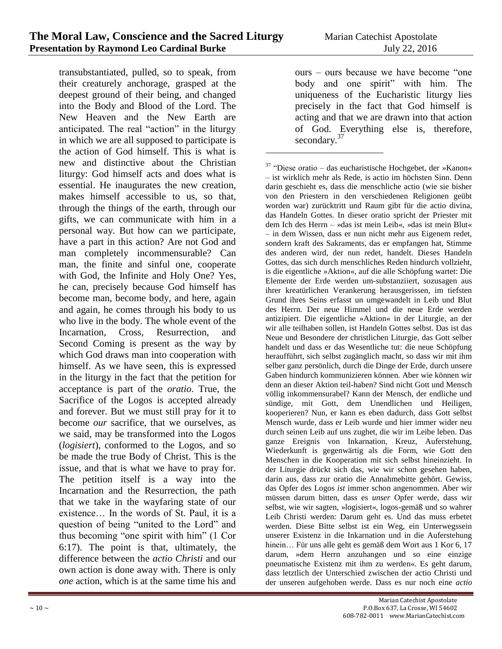transubstantiated, pulled, so to speak, from their creaturely anchorage, grasped at the deepest ground of their being, and changed into the Body and Blood of the Lord. The New Heaven and the New Earth are anticipated. The real "action" in the liturgy in which we are all supposed to participate is the action of God himself. This is what is new and distinctive about the Christian liturgy: God himself acts and does what is essential. He inaugurates the new creation, makes himself accessible to us, so that, through the things of the earth, through our gifts, we can communicate with him in a personal way. But how can we participate, have a part in this action? Are not God and man completely incommensurable? Can man, the finite and sinful one, cooperate with God, the Infinite and Holy One? Yes, he can, precisely because God himself has become man, become body, and here, again and again, he comes through his body to us who live in the body. The whole event of the Incarnation, Cross, Resurrection, and Second Coming is present as the way by which God draws man into cooperation with himself. As we have seen, this is expressed in the liturgy in the fact that the petition for acceptance is part of the *oratio*. True, the Sacrifice of the Logos is accepted already and forever. But we must still pray for it to become *our* sacrifice, that we ourselves, as we said, may be transformed into the Logos (*logisiert*), conformed to the Logos, and so be made the true Body of Christ. This is the issue, and that is what we have to pray for. The petition itself is a way into the Incarnation and the Resurrection, the path that we take in the wayfaring state of our existence… In the words of St. Paul, it is a question of being "united to the Lord" and thus becoming "one spirit with him" (1 Cor 6:17). The point is that, ultimately, the difference between the *actio Christi* and our own action is done away with. There is only *one* action, which is at the same time his and

ours – ours because we have become "one body and one spirit" with him. The uniqueness of the Eucharistic liturgy lies precisely in the fact that God himself is acting and that we are drawn into that action of God. Everything else is, therefore, secondary.<sup>37</sup>

 $\overline{a}$ 

<sup>37</sup> "Diese oratio – das eucharistische Hochgebet, der »Kanon« – ist wirklich mehr als Rede, is actio im höchsten Sinn. Denn darin geschieht es, dass die menschliche actio (wie sie bisher von den Priestern in den verschiedenen Religionen geübt worden war) zurücktritt und Raum gibt für die actio divina, das Handeln Gottes. In dieser oratio spricht der Priester mit dem Ich des Herrn – »das ist mein Leib«, »das ist mein Blut« – in dem Wissen, dass er nun nicht mehr aus Eigenem redet, sondern kraft des Sakraments, das er empfangen hat, Stimme des anderen wird, der nun redet, handelt. Dieses Handeln Gottes, das sich durch menschliches Reden hindurch vollzieht, is die eigentliche »Aktion«, auf die alle Schöpfung wartet: Die Elemente der Erde werden um-substanziiert, sozusagen aus ihrer kreatürlichen Verankerung herausgerissen, im tiefsten Grund ihres Seins erfasst un umgewandelt in Leib und Blut des Herrn. Der neue Himmel und die neue Erde werden antizipiert. Die eigentliche »Aktion« in der Liturgie, an der wir alle teilhaben sollen, ist Handeln Gottes selbst. Das ist das Neue und Besondere der christlichen Liturgie, das Gott selber handelt und dass er das Wesentliche tut: die neue Schöpfung heraufführt, sich selbst zugänglich macht, so dass wir mit ihm selber ganz persönlich, durch die Dinge der Erde, durch unsere Gaben hindurch kommunizieren können. Aber wie können wir denn an dieser Aktion teil-haben? Sind nicht Gott und Mensch völlig inkommensurabel? Kann der Mensch, der endliche und sündige, mit Gott, dem Unendlichen und Heiligen, kooperieren? Nun, er kann es eben dadurch, dass Gott selbst Mensch wurde, dass er Leib wurde und hier immer wider neu durch seinen Leib auf uns zughet, die wir im Leibe leben. Das ganze Ereignis von Inkarnation, Kreuz, Auferstehung, Wiederkunft is gegenwärtig als die Form, wie Gott den Menschen in die Kooperation mit sich selbst hineinzieht. In der Liturgie drückt sich das, wie wir schon gesehen haben, darin aus, dass zur oratio die Annahmebitte gehört. Gewiss, das Opfer des Logos *ist* immer schon angenommen. Aber wir müssen darum bitten, dass es *unser* Opfer werde, dass wir selbst, wie wir sagten, »logisiert«, logos-gemäß und so wahrer Leib Christi werden: Darum geht es. Und das muss erbetet werden. Diese Bitte selbst ist ein Weg, ein Unterwegssein unserer Existenz in die Inkarnation und in die Auferstehung hinein... Für uns alle geht es gemäß dem Wort aus 1 Kor 6, 17 darum, »dem Herrn anzuhangen und so eine einzige pneumatische Existenz mit ihm zu werden«. Es geht darum, dass letztlich der Unterschied zwischen der actio Christi und der unseren aufgehoben werde. Dass es nur noch eine *actio*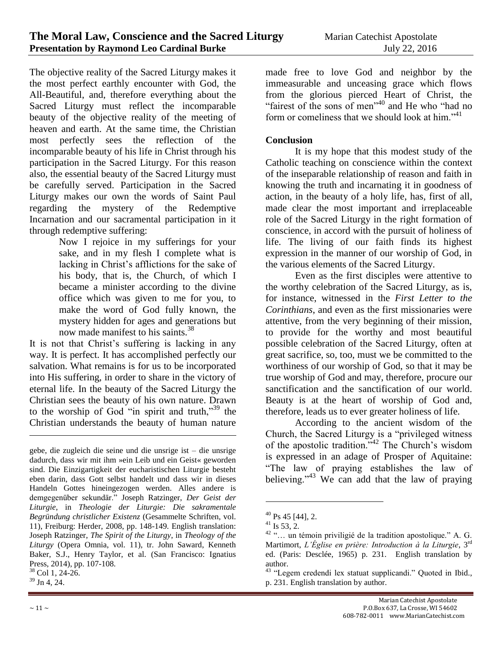The objective reality of the Sacred Liturgy makes it the most perfect earthly encounter with God, the All-Beautiful, and, therefore everything about the Sacred Liturgy must reflect the incomparable beauty of the objective reality of the meeting of heaven and earth. At the same time, the Christian most perfectly sees the reflection of the incomparable beauty of his life in Christ through his participation in the Sacred Liturgy. For this reason also, the essential beauty of the Sacred Liturgy must be carefully served. Participation in the Sacred Liturgy makes our own the words of Saint Paul regarding the mystery of the Redemptive Incarnation and our sacramental participation in it through redemptive suffering:

> Now I rejoice in my sufferings for your sake, and in my flesh I complete what is lacking in Christ's afflictions for the sake of his body, that is, the Church, of which I became a minister according to the divine office which was given to me for you, to make the word of God fully known, the mystery hidden for ages and generations but now made manifest to his saints.<sup>38</sup>

It is not that Christ's suffering is lacking in any way. It is perfect. It has accomplished perfectly our salvation. What remains is for us to be incorporated into His suffering, in order to share in the victory of eternal life. In the beauty of the Sacred Liturgy the Christian sees the beauty of his own nature. Drawn to the worship of God "in spirit and truth,"<sup>39</sup> the Christian understands the beauty of human nature made free to love God and neighbor by the immeasurable and unceasing grace which flows from the glorious pierced Heart of Christ, the "fairest of the sons of men"<sup>40</sup> and He who "had no form or comeliness that we should look at him."<sup>41</sup>

## **Conclusion**

It is my hope that this modest study of the Catholic teaching on conscience within the context of the inseparable relationship of reason and faith in knowing the truth and incarnating it in goodness of action, in the beauty of a holy life, has, first of all, made clear the most important and irreplaceable role of the Sacred Liturgy in the right formation of conscience, in accord with the pursuit of holiness of life. The living of our faith finds its highest expression in the manner of our worship of God, in the various elements of the Sacred Liturgy.

Even as the first disciples were attentive to the worthy celebration of the Sacred Liturgy, as is, for instance, witnessed in the *First Letter to the Corinthians*, and even as the first missionaries were attentive, from the very beginning of their mission, to provide for the worthy and most beautiful possible celebration of the Sacred Liturgy, often at great sacrifice, so, too, must we be committed to the worthiness of our worship of God, so that it may be true worship of God and may, therefore, procure our sanctification and the sanctification of our world. Beauty is at the heart of worship of God and, therefore, leads us to ever greater holiness of life.

According to the ancient wisdom of the Church, the Sacred Liturgy is a "privileged witness of the apostolic tradition."<sup>42</sup> The Church's wisdom is expressed in an adage of Prosper of Aquitaine: "The law of praying establishes the law of believing."<sup>43</sup> We can add that the law of praying

 $\overline{a}$ 

gebe, die zugleich die seine und die unsrige ist – die unsrige dadurch, dass wir mit ihm »ein Leib und ein Geist« geworden sind. Die Einzigartigkeit der eucharistischen Liturgie besteht eben darin, dass Gott selbst handelt und dass wir in dieses Handeln Gottes hineingezogen werden. Alles andere is demgegenüber sekundär." Joseph Ratzinger, *Der Geist der Liturgie*, in *Theologie der Liturgie: Die sakramentale Begründung christlicher Existenz* (Gesammelte Schriften, vol. 11), Freiburg: Herder, 2008, pp. 148-149. English translation: Joseph Ratzinger, *The Spirit of the Liturgy*, in *Theology of the Liturgy* (Opera Omnia, vol. 11), tr. John Saward, Kenneth Baker, S.J., Henry Taylor, et al. (San Francisco: Ignatius Press, 2014), pp. 107-108.

<sup>38</sup> Col 1, 24-26.

 $39$  Jn 4, 24.

 $40$  Ps 45 [44], 2.

 $41$  Is 53, 2.

<sup>&</sup>lt;sup>42</sup> "... un témoin priviligié de la tradition apostolique." A. G. Martimort, *L'Église en prière: Introduction à la Liturgie*, 3rd ed. (Paris: Desclée, 1965) p. 231. English translation by author.

<sup>43</sup> "Legem credendi lex statuat supplicandi." Quoted in Ibid., p. 231. English translation by author.